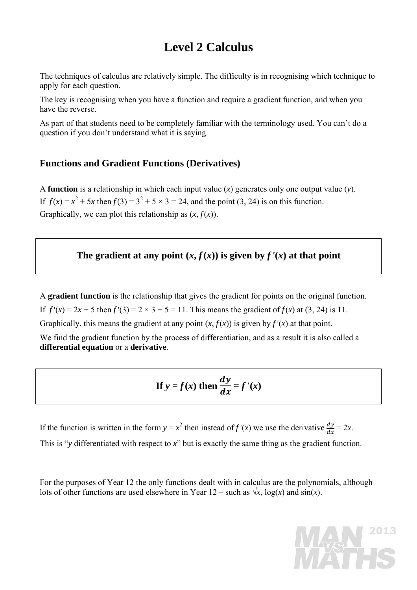# **Level 2 Calculus**

The techniques of calculus are relatively simple. The difficulty is in recognising which technique to apply for each question.

The key is recognising when you have a function and require a gradient function, and when you have the reverse.

As part of that students need to be completely familiar with the terminology used. You can't do a question if you don't understand what it is saying.

#### **Functions and Gradient Functions (Derivatives)**

A **function** is a relationship in which each input value (*x*) generates only one output value (*y*). If  $f(x) = x^2 + 5x$  then  $f(3) = 3^2 + 5 \times 3 = 24$ , and the point (3, 24) is on this function. Graphically, we can plot this relationship as  $(x, f(x))$ .

#### The gradient at any point  $(x, f(x))$  is given by  $f'(x)$  at that point

A **gradient function** is the relationship that gives the gradient for points on the original function. If  $f'(x) = 2x + 5$  then  $f'(3) = 2 \times 3 + 5 = 11$ . This means the gradient of  $f(x)$  at (3, 24) is 11. Graphically, this means the gradient at any point  $(x, f(x))$  is given by  $f'(x)$  at that point. We find the gradient function by the process of differentiation, and as a result it is also called a **differential equation** or a **derivative**.

If 
$$
y = f(x)
$$
 then  $\frac{dy}{dx} = f'(x)$ 

If the function is written in the form  $y = x^2$  then instead of  $f'(x)$  we use the derivative  $\frac{dy}{dx} = 2x$ . This is "*y* differentiated with respect to *x*" but is exactly the same thing as the gradient function.

For the purposes of Year 12 the only functions dealt with in calculus are the polynomials, although lots of other functions are used elsewhere in Year  $12$  – such as  $\sqrt{x}$ , log(*x*) and sin(*x*).

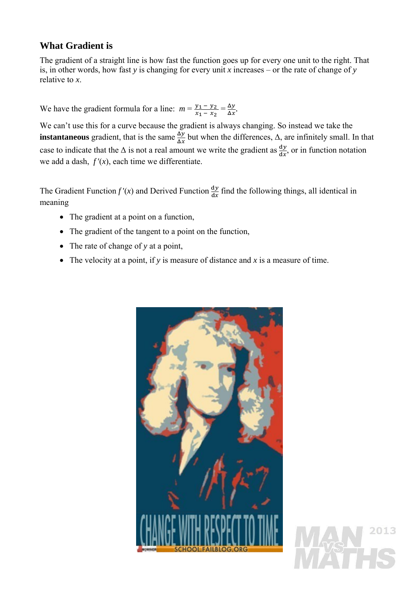#### **What Gradient is**

The gradient of a straight line is how fast the function goes up for every one unit to the right. That is, in other words, how fast *y* is changing for every unit *x* increases – or the rate of change of *y* relative to *x*.

We have the gradient formula for a line:  $m = \frac{y_1 - y_2}{x_1 - x_2} = \frac{\Delta y}{\Delta x}$ .

We can't use this for a curve because the gradient is always changing. So instead we take the **instantaneous** gradient, that is the same  $\frac{\Delta y}{\Delta x}$  but when the differences,  $\Delta$ , are infinitely small. In that case to indicate that the  $\Delta$  is not a real amount we write the gradient as  $\frac{dy}{dx}$ , or in function notation we add a dash,  $f'(x)$ , each time we differentiate.

The Gradient Function  $f'(x)$  and Derived Function  $\frac{dy}{dx}$  find the following things, all identical in meaning

- The gradient at a point on a function,
- The gradient of the tangent to a point on the function,
- The rate of change of *y* at a point,
- The velocity at a point, if *y* is measure of distance and *x* is a measure of time.

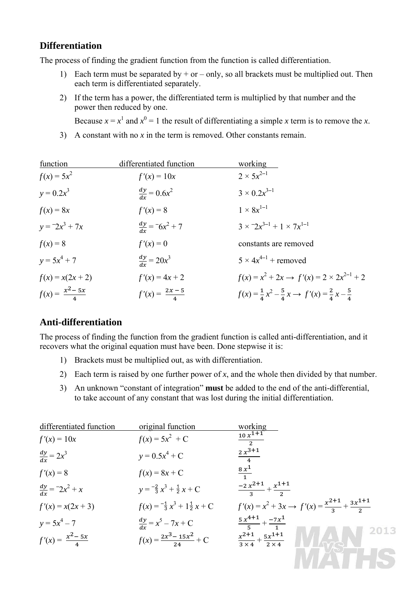#### **Differentiation**

The process of finding the gradient function from the function is called differentiation.

- 1) Each term must be separated by  $+$  or  $-$  only, so all brackets must be multiplied out. Then each term is differentiated separately.
- 2) If the term has a power, the differentiated term is multiplied by that number and the power then reduced by one.

Because  $x = x^1$  and  $x^0 = 1$  the result of differentiating a simple *x* term is to remove the *x*.

3) A constant with no  $x$  in the term is removed. Other constants remain.

| function                    | differentiated function    | working                                                                               |
|-----------------------------|----------------------------|---------------------------------------------------------------------------------------|
| $f(x) = 5x^2$               | $f'(x) = 10x$              | $2 \times 5x^{2-1}$                                                                   |
| $y = 0.2x^3$                | $\frac{dy}{dx} = 0.6x^2$   | $3 \times 0.2x^{3-1}$                                                                 |
| $f(x) = 8x$                 | $f'(x) = 8$                | $1 \times 8x^{1-1}$                                                                   |
| $y = 2x^3 + 7x$             | $\frac{dy}{dx} = 6x^2 + 7$ | $3 \times 2x^{3-1} + 1 \times 7x^{1-1}$                                               |
| $f(x) = 8$                  | $f'(x) = 0$                | constants are removed                                                                 |
| $y = 5x^4 + 7$              | $\frac{dy}{dx} = 20x^3$    | $5 \times 4x^{4-1}$ + removed                                                         |
| $f(x) = x(2x + 2)$          | $f'(x) = 4x + 2$           | $f(x) = x^2 + 2x \rightarrow f'(x) = 2 \times 2x^{2-1} + 2$                           |
| $f(x) = \frac{x^2 - 5x}{4}$ | $f'(x) = \frac{2x-5}{4}$   | $f(x) = \frac{1}{4}x^2 - \frac{5}{4}x \rightarrow f'(x) = \frac{2}{4}x - \frac{5}{4}$ |

#### **Anti-differentiation**

The process of finding the function from the gradient function is called anti-differentiation, and it recovers what the original equation must have been. Done stepwise it is:

- 1) Brackets must be multiplied out, as with differentiation.
- 2) Each term is raised by one further power of *x*, and the whole then divided by that number.
- 3) An unknown "constant of integration" **must** be added to the end of the anti-differential, to take account of any constant that was lost during the initial differentiation.

| differentiated function      | original function                            | working                                                                       |
|------------------------------|----------------------------------------------|-------------------------------------------------------------------------------|
| $f'(x) = 10x$                | $f(x) = 5x^2 + C$                            | $\frac{10 x^{1+1}}{2}$                                                        |
| $\frac{dy}{dx} = 2x^3$       | $y = 0.5x^4 + C$                             | $\frac{2x^{3+1}}{4}$                                                          |
| $f'(x) = 8$                  | $f(x) = 8x + C$                              | $\frac{8 x^1}{1}$                                                             |
| $\frac{dy}{dx} = -2x^2 + x$  | $y = -\frac{2}{3}x^3 + \frac{1}{2}x + C$     | $\frac{-2 x^{2+1}}{2} + \frac{x^{1+1}}{2}$                                    |
| $f'(x) = x(2x + 3)$          | $f(x) = -\frac{1}{3}x^3 + 1\frac{1}{2}x + C$ | $f'(x) = x^2 + 3x \rightarrow f'(x) = \frac{x^{2+1}}{2} + \frac{3x^{1+1}}{2}$ |
| $y = 5x^4 - 7$               | $\frac{dy}{dx} = x^5 - 7x + C$               | $rac{5x^{4+1}}{5} + \frac{-7x^{1}}{1}$                                        |
| $f'(x) = \frac{x^2 - 5x}{4}$ | $f(x) = \frac{2x^3 - 15x^2}{24} + C$         | 2013<br>$\frac{x^{2+1}}{3\times4}+\frac{5x^{1+1}}{2\times4}$                  |
|                              |                                              |                                                                               |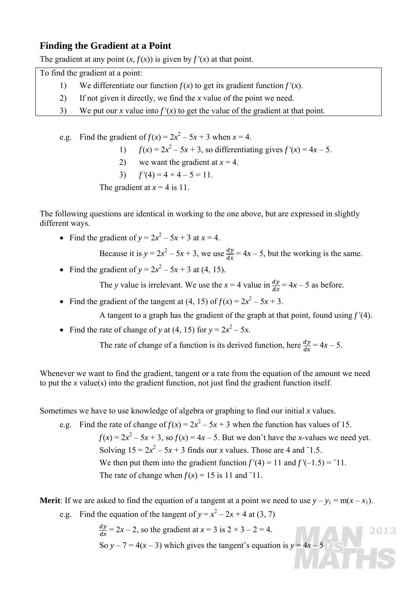#### **Finding the Gradient at a Point**

The gradient at any point  $(x, f(x))$  is given by  $f'(x)$  at that point.

To find the gradient at a point:

- 1) We differentiate our function  $f(x)$  to get its gradient function  $f'(x)$ .
- 2) If not given it directly, we find the *x* value of the point we need.
- 3) We put our *x* value into  $f'(x)$  to get the value of the gradient at that point.

e.g. Find the gradient of 
$$
f(x) = 2x^2 - 5x + 3
$$
 when  $x = 4$ .

- 1)  $f(x) = 2x^2 5x + 3$ , so differentiating gives  $f'(x) = 4x 5$ .
	- 2) we want the gradient at  $x = 4$ .
	- 3)  $f'(4) = 4 \times 4 5 = 11$ .

The gradient at  $x = 4$  is 11.

The following questions are identical in working to the one above, but are expressed in slightly different ways.

• Find the gradient of  $y = 2x^2 - 5x + 3$  at  $x = 4$ .

Because it is  $y = 2x^2 - 5x + 3$ , we use  $\frac{dy}{dx} = 4x - 5$ , but the working is the same.

• Find the gradient of  $y = 2x^2 - 5x + 3$  at (4, 15).

The *y* value is irrelevant. We use the  $x = 4$  value in  $\frac{dy}{dx} = 4x - 5$  as before.

• Find the gradient of the tangent at (4, 15) of  $f(x) = 2x^2 - 5x + 3$ .

A tangent to a graph has the gradient of the graph at that point, found using *f '*(4).

• Find the rate of change of *y* at (4, 15) for  $y = 2x^2 - 5x$ .

The rate of change of a function is its derived function, here  $\frac{dy}{dx} = 4x - 5$ .

Whenever we want to find the gradient, tangent or a rate from the equation of the amount we need to put the *x* value(s) into the gradient function, not just find the gradient function itself.

Sometimes we have to use knowledge of algebra or graphing to find our initial *x* values.

e.g. Find the rate of change of  $f(x) = 2x^2 - 5x + 3$  when the function has values of 15.  $f(x) = 2x^2 - 5x + 3$ , so  $f(x) = 4x - 5$ . But we don't have the *x*-values we need yet. Solving  $15 = 2x^2 - 5x + 3$  finds our *x* values. Those are 4 and  $-1.5$ . We then put them into the gradient function  $f'(4) = 11$  and  $f'(-1.5) = -11$ . The rate of change when  $f(x) = 15$  is 11 and <sup>-11</sup>.

**Merit**: If we are asked to find the equation of a tangent at a point we need to use  $y - y_1 = m(x - x_1)$ .

e.g. Find the equation of the tangent of  $y = x^2 - 2x + 4$  at (3, 7)

 $\frac{dy}{dx}$  = 2x – 2, so the gradient at  $x = 3$  is  $2 \times 3 - 2 = 4$ . 2013 So  $y - 7 = 4(x - 3)$  which gives the tangent's equation is  $y = 4x - 5$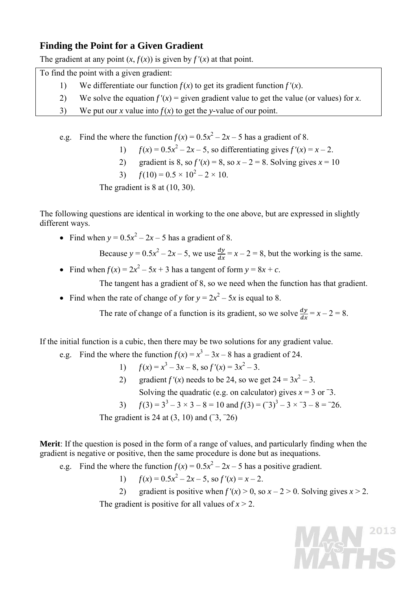## **Finding the Point for a Given Gradient**

The gradient at any point  $(x, f(x))$  is given by  $f'(x)$  at that point.

To find the point with a given gradient:

- 1) We differentiate our function  $f(x)$  to get its gradient function  $f'(x)$ .
- 2) We solve the equation  $f'(x) =$  given gradient value to get the value (or values) for *x*.
- 3) We put our *x* value into  $f(x)$  to get the *y*-value of our point.

e.g. Find the where the function  $f(x) = 0.5x^2 - 2x - 5$  has a gradient of 8.

- 1)  $f(x) = 0.5x^2 2x 5$ , so differentiating gives  $f'(x) = x 2$ .
	- 2) gradient is 8, so  $f'(x) = 8$ , so  $x 2 = 8$ . Solving gives  $x = 10$
- 3)  $f(10) = 0.5 \times 10^2 2 \times 10$ .

The gradient is 8 at  $(10, 30)$ .

The following questions are identical in working to the one above, but are expressed in slightly different ways.

• Find when  $y = 0.5x^2 - 2x - 5$  has a gradient of 8.

Because  $y = 0.5x^2 - 2x - 5$ , we use  $\frac{dy}{dx} = x - 2 = 8$ , but the working is the same.

• Find when  $f(x) = 2x^2 - 5x + 3$  has a tangent of form  $y = 8x + c$ .

The tangent has a gradient of 8, so we need when the function has that gradient.

• Find when the rate of change of *y* for  $y = 2x^2 - 5x$  is equal to 8.

The rate of change of a function is its gradient, so we solve  $\frac{dy}{dx} = x - 2 = 8$ .

If the initial function is a cubic, then there may be two solutions for any gradient value.

- e.g. Find the where the function  $f(x) = x^3 3x 8$  has a gradient of 24.
- 1)  $f(x) = x^3 3x 8$ , so  $f'(x) = 3x^2 3$ .
- 2) gradient  $f'(x)$  needs to be 24, so we get  $24 = 3x^2 3$ . Solving the quadratic (e.g. on calculator) gives  $x = 3$  or  $-3$ .
- 3)  $f(3) = 3^3 3 \times 3 8 = 10$  and  $f(3) = (3^3 3 \times 3 8 = 26$ .

The gradient is 24 at (3, 10) and (**–** 3, **–** 26)

**Merit**: If the question is posed in the form of a range of values, and particularly finding when the gradient is negative or positive, then the same procedure is done but as inequations.

e.g. Find the where the function  $f(x) = 0.5x^2 - 2x - 5$  has a positive gradient.

1)  $f(x) = 0.5x^2 - 2x - 5$ , so  $f'(x) = x - 2$ .

2) gradient is positive when  $f'(x) > 0$ , so  $x - 2 > 0$ . Solving gives  $x > 2$ . The gradient is positive for all values of  $x > 2$ .

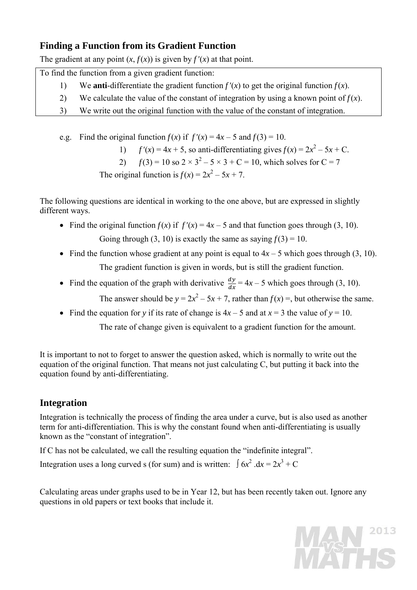## **Finding a Function from its Gradient Function**

The gradient at any point  $(x, f(x))$  is given by  $f'(x)$  at that point.

To find the function from a given gradient function:

- 1) We **anti**-differentiate the gradient function  $f'(x)$  to get the original function  $f(x)$ .
- 2) We calculate the value of the constant of integration by using a known point of  $f(x)$ .
- 3) We write out the original function with the value of the constant of integration.

e.g. Find the original function  $f(x)$  if  $f'(x) = 4x - 5$  and  $f(3) = 10$ .

1)  $f'(x) = 4x + 5$ , so anti-differentiating gives  $f(x) = 2x^2 - 5x + C$ .

2) 
$$
f(3) = 10
$$
 so  $2 \times 3^2 - 5 \times 3 + C = 10$ , which solves for  $C = 7$ 

The original function is  $f(x) = 2x^2 - 5x + 7$ .

The following questions are identical in working to the one above, but are expressed in slightly different ways.

- Find the original function  $f(x)$  if  $f'(x) = 4x 5$  and that function goes through (3, 10). Going through (3, 10) is exactly the same as saying  $f(3) = 10$ .
- Find the function whose gradient at any point is equal to  $4x 5$  which goes through (3, 10). The gradient function is given in words, but is still the gradient function.
- Find the equation of the graph with derivative  $\frac{dy}{dx} = 4x 5$  which goes through (3, 10). The answer should be  $y = 2x^2 - 5x + 7$ , rather than  $f(x) =$ , but otherwise the same.
	- Find the equation for *y* if its rate of change is  $4x 5$  and at  $x = 3$  the value of  $y = 10$ .

The rate of change given is equivalent to a gradient function for the amount.

It is important to not to forget to answer the question asked, which is normally to write out the equation of the original function. That means not just calculating C, but putting it back into the equation found by anti-differentiating.

## **Integration**

Integration is technically the process of finding the area under a curve, but is also used as another term for anti-differentiation. This is why the constant found when anti-differentiating is usually known as the "constant of integration".

If C has not be calculated, we call the resulting equation the "indefinite integral".

Integration uses a long curved s (for sum) and is written:  $\int 6x^2 dx = 2x^3 + C$ 

Calculating areas under graphs used to be in Year 12, but has been recently taken out. Ignore any questions in old papers or text books that include it.

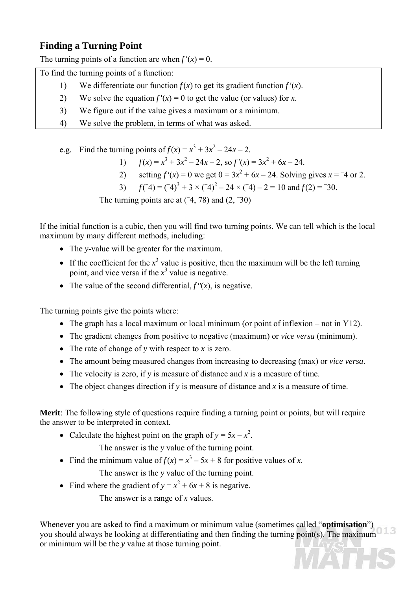## **Finding a Turning Point**

The turning points of a function are when  $f'(x) = 0$ .

To find the turning points of a function:

- 1) We differentiate our function  $f(x)$  to get its gradient function  $f'(x)$ .
- 2) We solve the equation  $f'(x) = 0$  to get the value (or values) for *x*.
- 3) We figure out if the value gives a maximum or a minimum.
- 4) We solve the problem, in terms of what was asked.
- e.g. Find the turning points of  $f(x) = x^3 + 3x^2 24x 2$ .
- 1)  $f(x) = x^3 + 3x^2 24x 2$ , so  $f'(x) = 3x^2 + 6x 24$ .
- 2) setting  $f'(x) = 0$  we get  $0 = 3x^2 + 6x 24$ . Solving gives  $x = -4$  or 2.
	- 3) *f*(  $(2\pi)^3 + 3 \times (2\pi)^2 - 24 \times (2\pi)^2 - 24 \times (2\pi)^2 = 10$  and  $f(2) = 30$ .

The turning points are at  $(4, 78)$  and  $(2, -30)$ 

If the initial function is a cubic, then you will find two turning points. We can tell which is the local maximum by many different methods, including:

- The *y*-value will be greater for the maximum.
- If the coefficient for the  $x^3$  value is positive, then the maximum will be the left turning point, and vice versa if the  $x^3$  value is negative.
- The value of the second differential,  $f''(x)$ , is negative.

The turning points give the points where:

- The graph has a local maximum or local minimum (or point of inflexion not in Y12).
- The gradient changes from positive to negative (maximum) or *vice versa* (minimum).
- The rate of change of *y* with respect to *x* is zero.
- The amount being measured changes from increasing to decreasing (max) or *vice versa*.
- The velocity is zero, if *y* is measure of distance and *x* is a measure of time.
- The object changes direction if *y* is measure of distance and *x* is a measure of time.

**Merit**: The following style of questions require finding a turning point or points, but will require the answer to be interpreted in context.

• Calculate the highest point on the graph of  $y = 5x - x^2$ .

The answer is the *y* value of the turning point.

• Find the minimum value of  $f(x) = x^3 - 5x + 8$  for positive values of *x*.

The answer is the *y* value of the turning point.

• Find where the gradient of  $y = x^2 + 6x + 8$  is negative.

The answer is a range of *x* values.

Whenever you are asked to find a maximum or minimum value (sometimes called "**optimisation**") you should always be looking at differentiating and then finding the turning point(s). The maximum or minimum will be the *y* value at those turning point.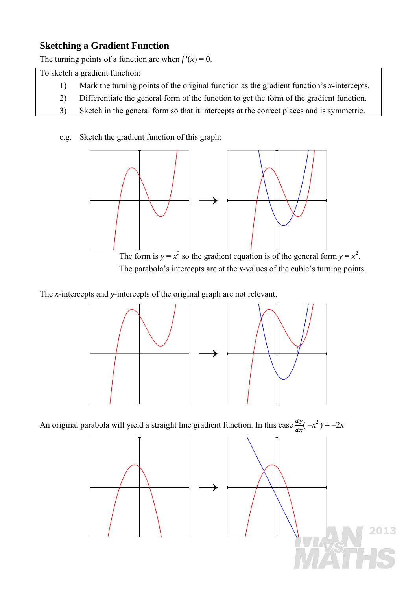# **Sketching a Gradient Function**

The turning points of a function are when  $f'(x) = 0$ .

To sketch a gradient function:

- 1) Mark the turning points of the original function as the gradient function's *x*-intercepts.
- 2) Differentiate the general form of the function to get the form of the gradient function.
- 3) Sketch in the general form so that it intercepts at the correct places and is symmetric.

## e.g. Sketch the gradient function of this graph:



The form is  $y = x^3$  so the gradient equation is of the general form  $y = x^2$ . The parabola's intercepts are at the *x*-values of the cubic's turning points.

The *x*-intercepts and *y*-intercepts of the original graph are not relevant.



An original parabola will yield a straight line gradient function. In this case  $\frac{dy}{dx}(-x^2) = -2x$ 

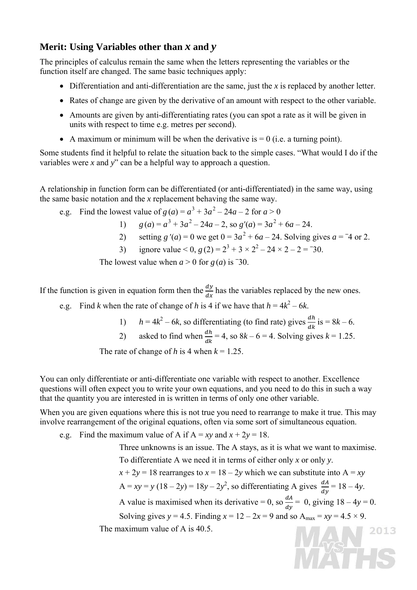## **Merit: Using Variables other than** *x* **and** *y*

The principles of calculus remain the same when the letters representing the variables or the function itself are changed. The same basic techniques apply:

- Differentiation and anti-differentiation are the same, just the *x* is replaced by another letter.
- Rates of change are given by the derivative of an amount with respect to the other variable.
- Amounts are given by anti-differentiating rates (you can spot a rate as it will be given in units with respect to time e.g. metres per second).
- A maximum or minimum will be when the derivative is  $= 0$  (i.e. a turning point).

Some students find it helpful to relate the situation back to the simple cases. "What would I do if the variables were *x* and *y*" can be a helpful way to approach a question.

A relationship in function form can be differentiated (or anti-differentiated) in the same way, using the same basic notation and the *x* replacement behaving the same way.

e.g. Find the lowest value of  $g(a) = a^3 + 3a^2 - 24a - 2$  for  $a > 0$ 

1) 
$$
g(a) = a^3 + 3a^2 - 24a - 2
$$
, so  $g'(a) = 3a^2 + 6a - 24$ .

- 2) setting *g* '(*a*) = 0 we get  $0 = 3a^2 + 6a 24$ . Solving gives  $a = -4$  or 2.
- 3) ignore value  $0, g(2) = 2^3 + 3 \times 2^2 24 \times 2 2 = -30$ .

The lowest value when  $a > 0$  for  $g(a)$  is <sup>-30</sup>.

If the function is given in equation form then the  $\frac{dy}{dx}$  has the variables replaced by the new ones.

- e.g. Find *k* when the rate of change of *h* is 4 if we have that  $h = 4k^2 6k$ .
- 1)  $h = 4k^2 6k$ , so differentiating (to find rate) gives  $\frac{dh}{dk}$  is = 8*k* 6.
- 2) asked to find when  $\frac{dh}{dk} = 4$ , so  $8k 6 = 4$ . Solving gives  $k = 1.25$ .

The rate of change of *h* is 4 when  $k = 1.25$ .

You can only differentiate or anti-differentiate one variable with respect to another. Excellence questions will often expect you to write your own equations, and you need to do this in such a way that the quantity you are interested in is written in terms of only one other variable.

When you are given equations where this is not true you need to rearrange to make it true. This may involve rearrangement of the original equations, often via some sort of simultaneous equation.

e.g. Find the maximum value of A if  $A = xy$  and  $x + 2y = 18$ .

Three unknowns is an issue. The A stays, as it is what we want to maximise.

To differentiate A we need it in terms of either only *x* or only *y*.

 $x + 2y = 18$  rearranges to  $x = 18 - 2y$  which we can substitute into  $A = xy$ 

$$
A = xy = y (18 - 2y) = 18y - 2y2
$$
, so differentiating A gives  $\frac{dA}{dy} = 18 - 4y$ .

A value is maximised when its derivative = 0, so  $\frac{dA}{dy}$  = 0, giving 18 – 4y = 0.

MAN!

2013

Solving gives  $y = 4.5$ . Finding  $x = 12 - 2x = 9$  and so  $A_{max} = xy = 4.5 \times 9$ .

The maximum value of A is 40.5.